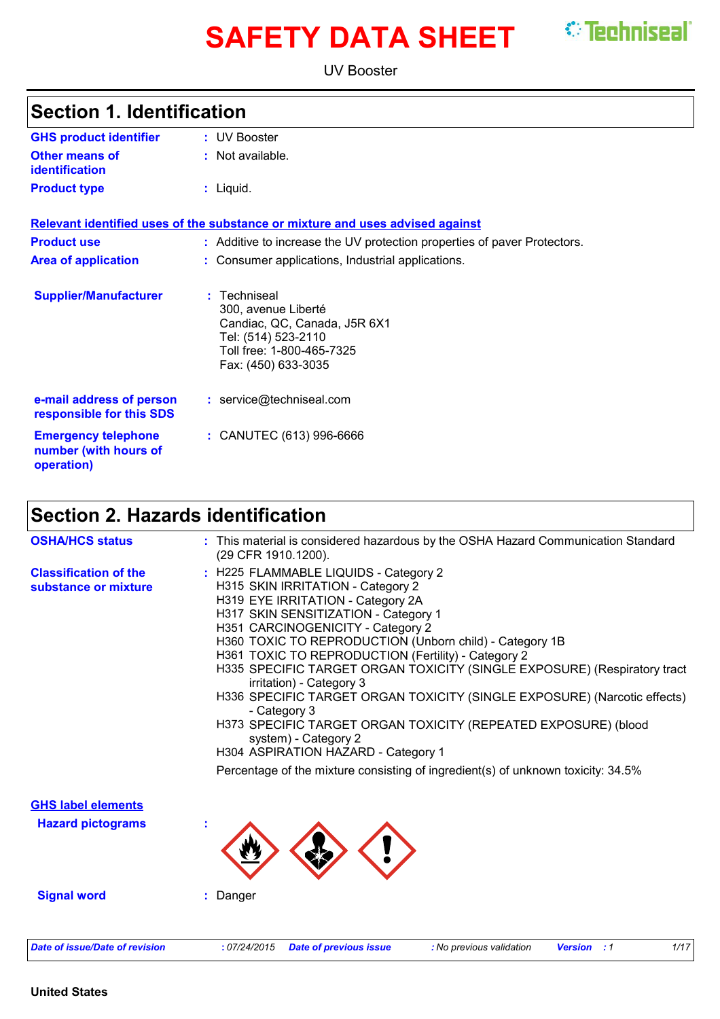# **SAFETY DATA SHEET** *C* Techniseal

UV Booster

| <b>GHS product identifier</b>                                     | : UV Booster                                                                                                                                 |
|-------------------------------------------------------------------|----------------------------------------------------------------------------------------------------------------------------------------------|
| <b>Other means of</b><br>identification                           | : Not available.                                                                                                                             |
| <b>Product type</b>                                               | $:$ Liquid.                                                                                                                                  |
|                                                                   | Relevant identified uses of the substance or mixture and uses advised against                                                                |
| <b>Product use</b>                                                | : Additive to increase the UV protection properties of paver Protectors.                                                                     |
| <b>Area of application</b>                                        | : Consumer applications, Industrial applications.                                                                                            |
| <b>Supplier/Manufacturer</b>                                      | Techniseal<br>300, avenue Liberté<br>Candiac, QC, Canada, J5R 6X1<br>Tel: (514) 523-2110<br>Toll free: 1-800-465-7325<br>Fax: (450) 633-3035 |
| e-mail address of person<br>responsible for this SDS              | : service@techniseal.com                                                                                                                     |
| <b>Emergency telephone</b><br>number (with hours of<br>operation) | : CANUTEC (613) 996-6666                                                                                                                     |

### **Section 2. Hazards identification**

| <b>OSHA/HCS status</b>                                | : This material is considered hazardous by the OSHA Hazard Communication Standard<br>(29 CFR 1910.1200).                                                                                                                                                                                                                                                                                                                                                                                                                                                                                                                                                                                                                                |
|-------------------------------------------------------|-----------------------------------------------------------------------------------------------------------------------------------------------------------------------------------------------------------------------------------------------------------------------------------------------------------------------------------------------------------------------------------------------------------------------------------------------------------------------------------------------------------------------------------------------------------------------------------------------------------------------------------------------------------------------------------------------------------------------------------------|
| <b>Classification of the</b><br>substance or mixture  | : H225 FLAMMABLE LIQUIDS - Category 2<br>H315 SKIN IRRITATION - Category 2<br>H319 EYE IRRITATION - Category 2A<br>H317 SKIN SENSITIZATION - Category 1<br>H351 CARCINOGENICITY - Category 2<br>H360 TOXIC TO REPRODUCTION (Unborn child) - Category 1B<br>H361 TOXIC TO REPRODUCTION (Fertility) - Category 2<br>H335 SPECIFIC TARGET ORGAN TOXICITY (SINGLE EXPOSURE) (Respiratory tract<br>irritation) - Category 3<br>H336 SPECIFIC TARGET ORGAN TOXICITY (SINGLE EXPOSURE) (Narcotic effects)<br>- Category 3<br>H373 SPECIFIC TARGET ORGAN TOXICITY (REPEATED EXPOSURE) (blood<br>system) - Category 2<br>H304 ASPIRATION HAZARD - Category 1<br>Percentage of the mixture consisting of ingredient(s) of unknown toxicity: 34.5% |
| <b>GHS label elements</b><br><b>Hazard pictograms</b> |                                                                                                                                                                                                                                                                                                                                                                                                                                                                                                                                                                                                                                                                                                                                         |
| <b>Signal word</b>                                    | Danger                                                                                                                                                                                                                                                                                                                                                                                                                                                                                                                                                                                                                                                                                                                                  |
| <b>Date of issue/Date of revision</b>                 | :07/24/2015<br>1/17<br><b>Date of previous issue</b><br>: No previous validation<br><b>Version</b> : 1                                                                                                                                                                                                                                                                                                                                                                                                                                                                                                                                                                                                                                  |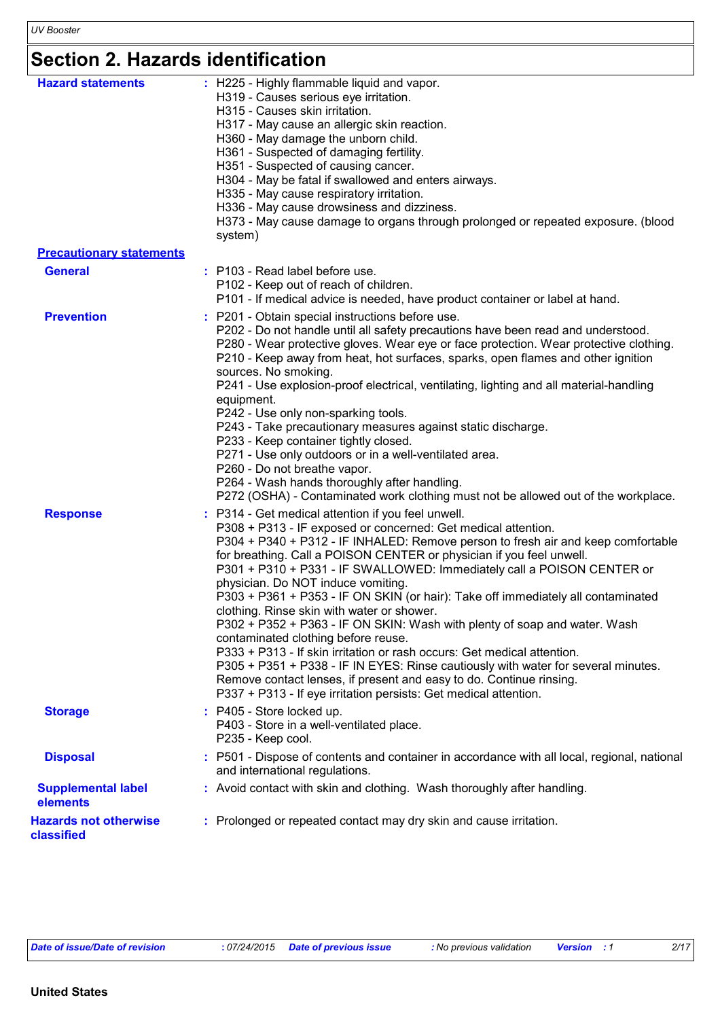# **Section 2. Hazards identification**

| <b>Hazard statements</b>                   | : H225 - Highly flammable liquid and vapor.<br>H319 - Causes serious eye irritation.<br>H315 - Causes skin irritation.<br>H317 - May cause an allergic skin reaction.<br>H360 - May damage the unborn child.<br>H361 - Suspected of damaging fertility.<br>H351 - Suspected of causing cancer.<br>H304 - May be fatal if swallowed and enters airways.<br>H335 - May cause respiratory irritation.<br>H336 - May cause drowsiness and dizziness.<br>system) | H373 - May cause damage to organs through prolonged or repeated exposure. (blood                                                                                                                                                                                                                                                                                                                                                                                                                                                                                                                                                                                                                                                                                                |
|--------------------------------------------|-------------------------------------------------------------------------------------------------------------------------------------------------------------------------------------------------------------------------------------------------------------------------------------------------------------------------------------------------------------------------------------------------------------------------------------------------------------|---------------------------------------------------------------------------------------------------------------------------------------------------------------------------------------------------------------------------------------------------------------------------------------------------------------------------------------------------------------------------------------------------------------------------------------------------------------------------------------------------------------------------------------------------------------------------------------------------------------------------------------------------------------------------------------------------------------------------------------------------------------------------------|
| <b>Precautionary statements</b>            |                                                                                                                                                                                                                                                                                                                                                                                                                                                             |                                                                                                                                                                                                                                                                                                                                                                                                                                                                                                                                                                                                                                                                                                                                                                                 |
| <b>General</b>                             | : P103 - Read label before use.<br>P102 - Keep out of reach of children.                                                                                                                                                                                                                                                                                                                                                                                    | P101 - If medical advice is needed, have product container or label at hand.                                                                                                                                                                                                                                                                                                                                                                                                                                                                                                                                                                                                                                                                                                    |
| <b>Prevention</b>                          | : P201 - Obtain special instructions before use.<br>sources. No smoking.<br>equipment.<br>P242 - Use only non-sparking tools.<br>P233 - Keep container tightly closed.<br>P271 - Use only outdoors or in a well-ventilated area.<br>P260 - Do not breathe vapor.<br>P264 - Wash hands thoroughly after handling.                                                                                                                                            | P202 - Do not handle until all safety precautions have been read and understood.<br>P280 - Wear protective gloves. Wear eye or face protection. Wear protective clothing.<br>P210 - Keep away from heat, hot surfaces, sparks, open flames and other ignition<br>P241 - Use explosion-proof electrical, ventilating, lighting and all material-handling<br>P243 - Take precautionary measures against static discharge.<br>P272 (OSHA) - Contaminated work clothing must not be allowed out of the workplace.                                                                                                                                                                                                                                                                   |
| <b>Response</b>                            | : P314 - Get medical attention if you feel unwell.<br>physician. Do NOT induce vomiting.<br>clothing. Rinse skin with water or shower.<br>contaminated clothing before reuse.                                                                                                                                                                                                                                                                               | P308 + P313 - IF exposed or concerned: Get medical attention.<br>P304 + P340 + P312 - IF INHALED: Remove person to fresh air and keep comfortable<br>for breathing. Call a POISON CENTER or physician if you feel unwell.<br>P301 + P310 + P331 - IF SWALLOWED: Immediately call a POISON CENTER or<br>P303 + P361 + P353 - IF ON SKIN (or hair): Take off immediately all contaminated<br>P302 + P352 + P363 - IF ON SKIN: Wash with plenty of soap and water. Wash<br>P333 + P313 - If skin irritation or rash occurs: Get medical attention.<br>P305 + P351 + P338 - IF IN EYES: Rinse cautiously with water for several minutes.<br>Remove contact lenses, if present and easy to do. Continue rinsing.<br>P337 + P313 - If eye irritation persists: Get medical attention. |
| <b>Storage</b>                             | : P405 - Store locked up.<br>P403 - Store in a well-ventilated place.<br>P235 - Keep cool.                                                                                                                                                                                                                                                                                                                                                                  |                                                                                                                                                                                                                                                                                                                                                                                                                                                                                                                                                                                                                                                                                                                                                                                 |
| <b>Disposal</b>                            | and international regulations.                                                                                                                                                                                                                                                                                                                                                                                                                              | : P501 - Dispose of contents and container in accordance with all local, regional, national                                                                                                                                                                                                                                                                                                                                                                                                                                                                                                                                                                                                                                                                                     |
| <b>Supplemental label</b><br>elements      |                                                                                                                                                                                                                                                                                                                                                                                                                                                             | : Avoid contact with skin and clothing. Wash thoroughly after handling.                                                                                                                                                                                                                                                                                                                                                                                                                                                                                                                                                                                                                                                                                                         |
| <b>Hazards not otherwise</b><br>classified |                                                                                                                                                                                                                                                                                                                                                                                                                                                             | : Prolonged or repeated contact may dry skin and cause irritation.                                                                                                                                                                                                                                                                                                                                                                                                                                                                                                                                                                                                                                                                                                              |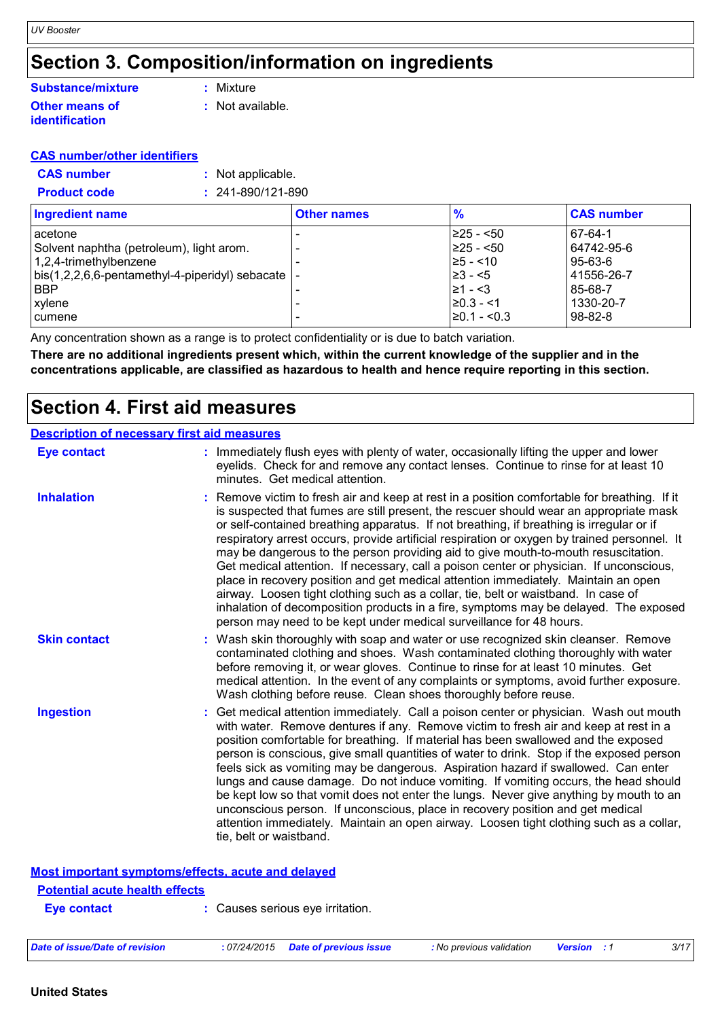### **Section 3. Composition/information on ingredients**

#### **Other means of identification Substance/mixture**

**:** Mixture

**:** Not available.

### **CAS number/other identifiers**

| <b>CAS number</b> | : Not applicable. |
|-------------------|-------------------|
|-------------------|-------------------|

| <b>Product code</b><br>$: 241 - 890/121 - 890$                  |                    |                  |                   |
|-----------------------------------------------------------------|--------------------|------------------|-------------------|
| <b>Ingredient name</b>                                          | <b>Other names</b> | $\frac{9}{6}$    | <b>CAS number</b> |
| lacetone                                                        |                    | $\geq$ 25 - <50  | 67-64-1           |
| Solvent naphtha (petroleum), light arom.                        |                    | $ 225 - 50$      | 64742-95-6        |
| $1,2,4$ -trimethylbenzene                                       |                    | $\ge 5 - 10$     | 95-63-6           |
| $\vert$ bis(1,2,2,6,6-pentamethyl-4-piperidyl) sebacate $\vert$ |                    | $\geq 3 - 5$     | 41556-26-7        |
| <b>BBP</b>                                                      |                    | $ ≥1 - <3$       | 85-68-7           |
| xylene                                                          |                    | $\geq 0.3 - 1$   | 1330-20-7         |
| <b>I</b> cumene                                                 |                    | $\geq 0.1 - 0.3$ | 98-82-8           |

Any concentration shown as a range is to protect confidentiality or is due to batch variation.

**There are no additional ingredients present which, within the current knowledge of the supplier and in the concentrations applicable, are classified as hazardous to health and hence require reporting in this section.**

### **Section 4. First aid measures**

### **Description of necessary first aid measures**

| <b>Eye contact</b>  | : Immediately flush eyes with plenty of water, occasionally lifting the upper and lower<br>eyelids. Check for and remove any contact lenses. Continue to rinse for at least 10<br>minutes. Get medical attention.                                                                                                                                                                                                                                                                                                                                                                                                                                                                                                                                                                                                                                                                                              |
|---------------------|----------------------------------------------------------------------------------------------------------------------------------------------------------------------------------------------------------------------------------------------------------------------------------------------------------------------------------------------------------------------------------------------------------------------------------------------------------------------------------------------------------------------------------------------------------------------------------------------------------------------------------------------------------------------------------------------------------------------------------------------------------------------------------------------------------------------------------------------------------------------------------------------------------------|
| <b>Inhalation</b>   | : Remove victim to fresh air and keep at rest in a position comfortable for breathing. If it<br>is suspected that fumes are still present, the rescuer should wear an appropriate mask<br>or self-contained breathing apparatus. If not breathing, if breathing is irregular or if<br>respiratory arrest occurs, provide artificial respiration or oxygen by trained personnel. It<br>may be dangerous to the person providing aid to give mouth-to-mouth resuscitation.<br>Get medical attention. If necessary, call a poison center or physician. If unconscious,<br>place in recovery position and get medical attention immediately. Maintain an open<br>airway. Loosen tight clothing such as a collar, tie, belt or waistband. In case of<br>inhalation of decomposition products in a fire, symptoms may be delayed. The exposed<br>person may need to be kept under medical surveillance for 48 hours. |
| <b>Skin contact</b> | : Wash skin thoroughly with soap and water or use recognized skin cleanser. Remove<br>contaminated clothing and shoes. Wash contaminated clothing thoroughly with water<br>before removing it, or wear gloves. Continue to rinse for at least 10 minutes. Get<br>medical attention. In the event of any complaints or symptoms, avoid further exposure.<br>Wash clothing before reuse. Clean shoes thoroughly before reuse.                                                                                                                                                                                                                                                                                                                                                                                                                                                                                    |
| <b>Ingestion</b>    | : Get medical attention immediately. Call a poison center or physician. Wash out mouth<br>with water. Remove dentures if any. Remove victim to fresh air and keep at rest in a<br>position comfortable for breathing. If material has been swallowed and the exposed<br>person is conscious, give small quantities of water to drink. Stop if the exposed person<br>feels sick as vomiting may be dangerous. Aspiration hazard if swallowed. Can enter<br>lungs and cause damage. Do not induce vomiting. If vomiting occurs, the head should<br>be kept low so that vomit does not enter the lungs. Never give anything by mouth to an<br>unconscious person. If unconscious, place in recovery position and get medical<br>attention immediately. Maintain an open airway. Loosen tight clothing such as a collar,<br>tie, belt or waistband.                                                                |

### **Most important symptoms/effects, acute and delayed**

#### **Potential acute health effects**

**Eye contact :** Causes serious eye irritation.

|  | Date of issue/Date of revision | : 07/24/2015 | Date of previous issue | : No previous validation | <b>Version</b> |  | 3/17 |
|--|--------------------------------|--------------|------------------------|--------------------------|----------------|--|------|
|--|--------------------------------|--------------|------------------------|--------------------------|----------------|--|------|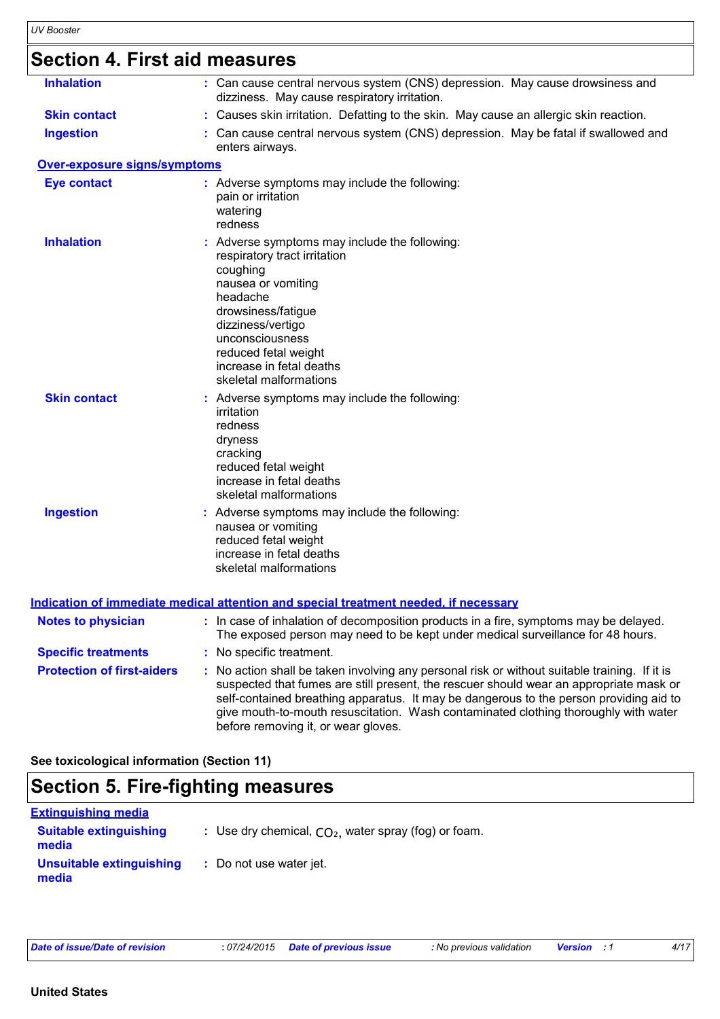# **Section 4. First aid measures**

| <b>Inhalation</b>                   | : Can cause central nervous system (CNS) depression. May cause drowsiness and<br>dizziness. May cause respiratory irritation.                                                                                                                                                                                                                                                                                   |
|-------------------------------------|-----------------------------------------------------------------------------------------------------------------------------------------------------------------------------------------------------------------------------------------------------------------------------------------------------------------------------------------------------------------------------------------------------------------|
| <b>Skin contact</b>                 | : Causes skin irritation. Defatting to the skin. May cause an allergic skin reaction.                                                                                                                                                                                                                                                                                                                           |
| <b>Ingestion</b>                    | : Can cause central nervous system (CNS) depression. May be fatal if swallowed and<br>enters airways.                                                                                                                                                                                                                                                                                                           |
| <b>Over-exposure signs/symptoms</b> |                                                                                                                                                                                                                                                                                                                                                                                                                 |
| <b>Eye contact</b>                  | : Adverse symptoms may include the following:<br>pain or irritation<br>watering<br>redness                                                                                                                                                                                                                                                                                                                      |
| <b>Inhalation</b>                   | : Adverse symptoms may include the following:<br>respiratory tract irritation<br>coughing<br>nausea or vomiting<br>headache<br>drowsiness/fatigue<br>dizziness/vertigo<br>unconsciousness<br>reduced fetal weight<br>increase in fetal deaths<br>skeletal malformations                                                                                                                                         |
| <b>Skin contact</b>                 | : Adverse symptoms may include the following:<br>irritation<br>redness<br>dryness<br>cracking<br>reduced fetal weight<br>increase in fetal deaths<br>skeletal malformations                                                                                                                                                                                                                                     |
| <b>Ingestion</b>                    | : Adverse symptoms may include the following:<br>nausea or vomiting<br>reduced fetal weight<br>increase in fetal deaths<br>skeletal malformations                                                                                                                                                                                                                                                               |
|                                     | <u>Indication of immediate medical attention and special treatment needed, if necessary</u>                                                                                                                                                                                                                                                                                                                     |
| <b>Notes to physician</b>           | : In case of inhalation of decomposition products in a fire, symptoms may be delayed.<br>The exposed person may need to be kept under medical surveillance for 48 hours.                                                                                                                                                                                                                                        |
| <b>Specific treatments</b>          | : No specific treatment.                                                                                                                                                                                                                                                                                                                                                                                        |
| <b>Protection of first-aiders</b>   | : No action shall be taken involving any personal risk or without suitable training. If it is<br>suspected that fumes are still present, the rescuer should wear an appropriate mask or<br>self-contained breathing apparatus. It may be dangerous to the person providing aid to<br>give mouth-to-mouth resuscitation. Wash contaminated clothing thoroughly with water<br>before removing it, or wear gloves. |

**See toxicological information (Section 11)**

### **Section 5. Fire-fighting measures**

| <u>Extinquishing media</u>             |                                                        |
|----------------------------------------|--------------------------------------------------------|
| <b>Suitable extinguishing</b><br>media | : Use dry chemical, $CO2$ , water spray (fog) or foam. |
| Unsuitable extinguishing<br>media      | : Do not use water jet.                                |

*Date of issue/Date of revision* **:** *07/24/2015 Date of previous issue : No previous validation Version : 1 4/17*

**United States**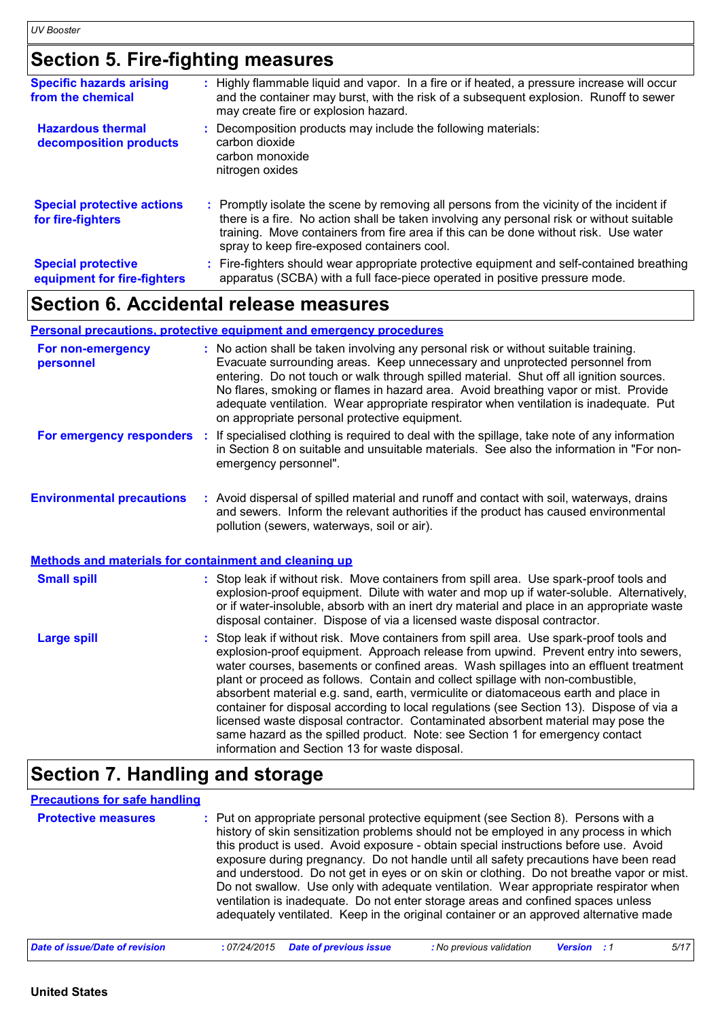### **Section 5. Fire-fighting measures**

| <b>Specific hazards arising</b><br>from the chemical     | : Highly flammable liquid and vapor. In a fire or if heated, a pressure increase will occur<br>and the container may burst, with the risk of a subsequent explosion. Runoff to sewer<br>may create fire or explosion hazard.                                                                                                  |
|----------------------------------------------------------|-------------------------------------------------------------------------------------------------------------------------------------------------------------------------------------------------------------------------------------------------------------------------------------------------------------------------------|
| <b>Hazardous thermal</b><br>decomposition products       | Decomposition products may include the following materials:<br>carbon dioxide<br>carbon monoxide<br>nitrogen oxides                                                                                                                                                                                                           |
| <b>Special protective actions</b><br>for fire-fighters   | : Promptly isolate the scene by removing all persons from the vicinity of the incident if<br>there is a fire. No action shall be taken involving any personal risk or without suitable<br>training. Move containers from fire area if this can be done without risk. Use water<br>spray to keep fire-exposed containers cool. |
| <b>Special protective</b><br>equipment for fire-fighters | : Fire-fighters should wear appropriate protective equipment and self-contained breathing<br>apparatus (SCBA) with a full face-piece operated in positive pressure mode.                                                                                                                                                      |

### **Section 6. Accidental release measures**

### **Personal precautions, protective equipment and emergency procedures**

| For non-emergency<br>personnel                        | : No action shall be taken involving any personal risk or without suitable training.<br>Evacuate surrounding areas. Keep unnecessary and unprotected personnel from<br>entering. Do not touch or walk through spilled material. Shut off all ignition sources.<br>No flares, smoking or flames in hazard area. Avoid breathing vapor or mist. Provide<br>adequate ventilation. Wear appropriate respirator when ventilation is inadequate. Put<br>on appropriate personal protective equipment.                                                                                                                                                                                                                                                                      |
|-------------------------------------------------------|----------------------------------------------------------------------------------------------------------------------------------------------------------------------------------------------------------------------------------------------------------------------------------------------------------------------------------------------------------------------------------------------------------------------------------------------------------------------------------------------------------------------------------------------------------------------------------------------------------------------------------------------------------------------------------------------------------------------------------------------------------------------|
| For emergency responders                              | If specialised clothing is required to deal with the spillage, take note of any information<br>÷.<br>in Section 8 on suitable and unsuitable materials. See also the information in "For non-<br>emergency personnel".                                                                                                                                                                                                                                                                                                                                                                                                                                                                                                                                               |
| <b>Environmental precautions</b>                      | : Avoid dispersal of spilled material and runoff and contact with soil, waterways, drains<br>and sewers. Inform the relevant authorities if the product has caused environmental<br>pollution (sewers, waterways, soil or air).                                                                                                                                                                                                                                                                                                                                                                                                                                                                                                                                      |
| Methods and materials for containment and cleaning up |                                                                                                                                                                                                                                                                                                                                                                                                                                                                                                                                                                                                                                                                                                                                                                      |
| <b>Small spill</b>                                    | : Stop leak if without risk. Move containers from spill area. Use spark-proof tools and<br>explosion-proof equipment. Dilute with water and mop up if water-soluble. Alternatively,<br>or if water-insoluble, absorb with an inert dry material and place in an appropriate waste<br>disposal container. Dispose of via a licensed waste disposal contractor.                                                                                                                                                                                                                                                                                                                                                                                                        |
| <b>Large spill</b>                                    | : Stop leak if without risk. Move containers from spill area. Use spark-proof tools and<br>explosion-proof equipment. Approach release from upwind. Prevent entry into sewers,<br>water courses, basements or confined areas. Wash spillages into an effluent treatment<br>plant or proceed as follows. Contain and collect spillage with non-combustible,<br>absorbent material e.g. sand, earth, vermiculite or diatomaceous earth and place in<br>container for disposal according to local regulations (see Section 13). Dispose of via a<br>licensed waste disposal contractor. Contaminated absorbent material may pose the<br>same hazard as the spilled product. Note: see Section 1 for emergency contact<br>information and Section 13 for waste disposal. |

# **Section 7. Handling and storage**

### **Precautions for safe handling**

| <b>Protective measures</b> | : Put on appropriate personal protective equipment (see Section 8). Persons with a<br>history of skin sensitization problems should not be employed in any process in which<br>this product is used. Avoid exposure - obtain special instructions before use. Avoid<br>exposure during pregnancy. Do not handle until all safety precautions have been read<br>and understood. Do not get in eyes or on skin or clothing. Do not breathe vapor or mist.<br>Do not swallow. Use only with adequate ventilation. Wear appropriate respirator when<br>ventilation is inadequate. Do not enter storage areas and confined spaces unless<br>adequately ventilated. Keep in the original container or an approved alternative made |
|----------------------------|------------------------------------------------------------------------------------------------------------------------------------------------------------------------------------------------------------------------------------------------------------------------------------------------------------------------------------------------------------------------------------------------------------------------------------------------------------------------------------------------------------------------------------------------------------------------------------------------------------------------------------------------------------------------------------------------------------------------------|
|----------------------------|------------------------------------------------------------------------------------------------------------------------------------------------------------------------------------------------------------------------------------------------------------------------------------------------------------------------------------------------------------------------------------------------------------------------------------------------------------------------------------------------------------------------------------------------------------------------------------------------------------------------------------------------------------------------------------------------------------------------------|

| Date of issue/Date of revision | : 07/24/2015  Date of previous issue | : No previous validation | <b>Version</b> : 1 | 5/17 |
|--------------------------------|--------------------------------------|--------------------------|--------------------|------|
|--------------------------------|--------------------------------------|--------------------------|--------------------|------|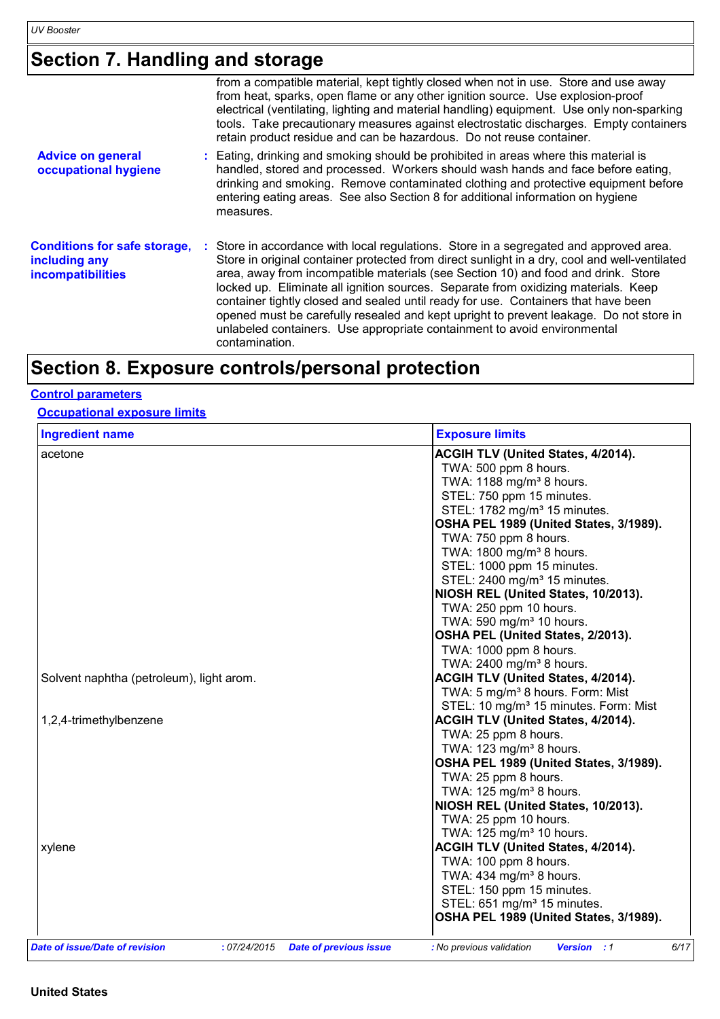### **Section 7. Handling and storage**

|                                                                                  | from a compatible material, kept tightly closed when not in use. Store and use away<br>from heat, sparks, open flame or any other ignition source. Use explosion-proof<br>electrical (ventilating, lighting and material handling) equipment. Use only non-sparking<br>tools. Take precautionary measures against electrostatic discharges. Empty containers<br>retain product residue and can be hazardous. Do not reuse container.                                                                                                                                                                                                             |
|----------------------------------------------------------------------------------|--------------------------------------------------------------------------------------------------------------------------------------------------------------------------------------------------------------------------------------------------------------------------------------------------------------------------------------------------------------------------------------------------------------------------------------------------------------------------------------------------------------------------------------------------------------------------------------------------------------------------------------------------|
| <b>Advice on general</b><br>occupational hygiene                                 | : Eating, drinking and smoking should be prohibited in areas where this material is<br>handled, stored and processed. Workers should wash hands and face before eating,<br>drinking and smoking. Remove contaminated clothing and protective equipment before<br>entering eating areas. See also Section 8 for additional information on hygiene<br>measures.                                                                                                                                                                                                                                                                                    |
| <b>Conditions for safe storage,</b><br>including any<br><b>incompatibilities</b> | : Store in accordance with local regulations. Store in a segregated and approved area.<br>Store in original container protected from direct sunlight in a dry, cool and well-ventilated<br>area, away from incompatible materials (see Section 10) and food and drink. Store<br>locked up. Eliminate all ignition sources. Separate from oxidizing materials. Keep<br>container tightly closed and sealed until ready for use. Containers that have been<br>opened must be carefully resealed and kept upright to prevent leakage. Do not store in<br>unlabeled containers. Use appropriate containment to avoid environmental<br>contamination. |

# **Section 8. Exposure controls/personal protection**

### **Control parameters**

### **Occupational exposure limits**

| <b>Ingredient name</b>                   | <b>Exposure limits</b>                            |
|------------------------------------------|---------------------------------------------------|
| acetone                                  | ACGIH TLV (United States, 4/2014).                |
|                                          | TWA: 500 ppm 8 hours.                             |
|                                          | TWA: 1188 mg/m <sup>3</sup> 8 hours.              |
|                                          | STEL: 750 ppm 15 minutes.                         |
|                                          | STEL: 1782 mg/m <sup>3</sup> 15 minutes.          |
|                                          | OSHA PEL 1989 (United States, 3/1989).            |
|                                          | TWA: 750 ppm 8 hours.                             |
|                                          | TWA: 1800 mg/m <sup>3</sup> 8 hours.              |
|                                          | STEL: 1000 ppm 15 minutes.                        |
|                                          | STEL: 2400 mg/m <sup>3</sup> 15 minutes.          |
|                                          | NIOSH REL (United States, 10/2013).               |
|                                          | TWA: 250 ppm 10 hours.                            |
|                                          | TWA: 590 mg/m <sup>3</sup> 10 hours.              |
|                                          | OSHA PEL (United States, 2/2013).                 |
|                                          | TWA: 1000 ppm 8 hours.                            |
|                                          | TWA: 2400 mg/m <sup>3</sup> 8 hours.              |
| Solvent naphtha (petroleum), light arom. | ACGIH TLV (United States, 4/2014).                |
|                                          | TWA: 5 mg/m <sup>3</sup> 8 hours. Form: Mist      |
|                                          | STEL: 10 mg/m <sup>3</sup> 15 minutes. Form: Mist |
| 1,2,4-trimethylbenzene                   | <b>ACGIH TLV (United States, 4/2014).</b>         |
|                                          | TWA: 25 ppm 8 hours.                              |
|                                          | TWA: $123$ mg/m <sup>3</sup> 8 hours.             |
|                                          | OSHA PEL 1989 (United States, 3/1989).            |
|                                          | TWA: 25 ppm 8 hours.                              |
|                                          | TWA: 125 mg/m <sup>3</sup> 8 hours.               |
|                                          | NIOSH REL (United States, 10/2013).               |
|                                          | TWA: 25 ppm 10 hours.                             |
|                                          | TWA: 125 mg/m <sup>3</sup> 10 hours.              |
| xylene                                   | <b>ACGIH TLV (United States, 4/2014).</b>         |
|                                          | TWA: 100 ppm 8 hours.                             |
|                                          | TWA: 434 mg/m <sup>3</sup> 8 hours.               |
|                                          | STEL: 150 ppm 15 minutes.                         |
|                                          | STEL: 651 mg/m <sup>3</sup> 15 minutes.           |
|                                          | OSHA PEL 1989 (United States, 3/1989).            |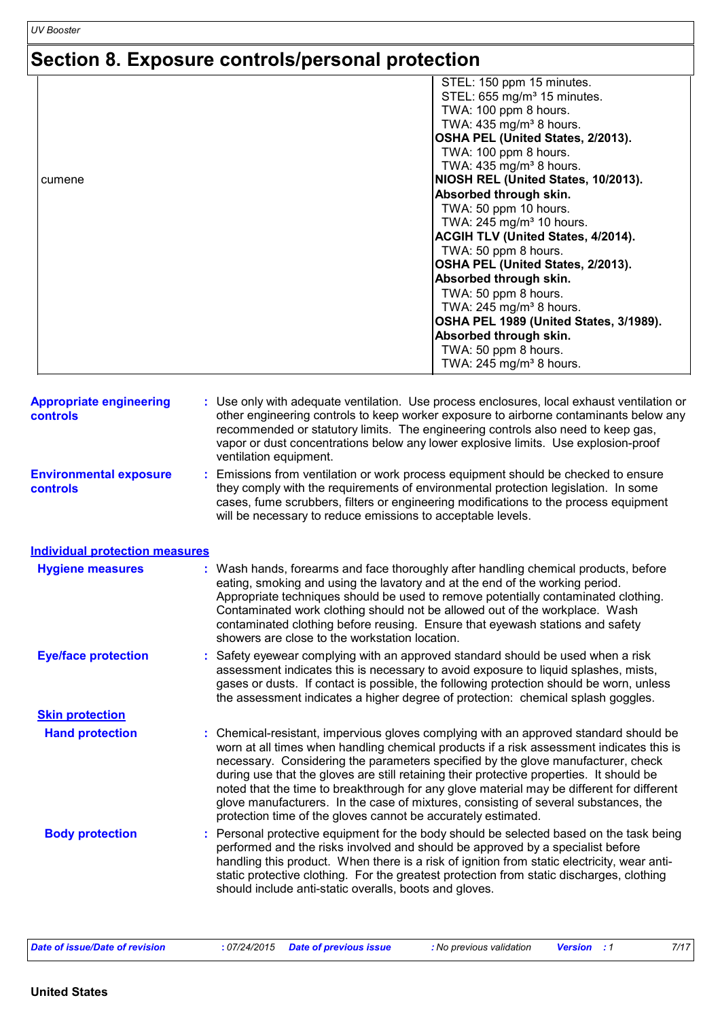# **Section 8. Exposure controls/personal protection**

|        | STEL: 150 ppm 15 minutes.               |
|--------|-----------------------------------------|
|        | STEL: 655 mg/m <sup>3</sup> 15 minutes. |
|        | TWA: 100 ppm 8 hours.                   |
|        | TWA: 435 mg/m <sup>3</sup> 8 hours.     |
|        | OSHA PEL (United States, 2/2013).       |
|        | TWA: 100 ppm 8 hours.                   |
|        | TWA: 435 mg/m <sup>3</sup> 8 hours.     |
| cumene | NIOSH REL (United States, 10/2013).     |
|        | Absorbed through skin.                  |
|        | TWA: 50 ppm 10 hours.                   |
|        | TWA: 245 mg/m <sup>3</sup> 10 hours.    |
|        | ACGIH TLV (United States, 4/2014).      |
|        | TWA: 50 ppm 8 hours.                    |
|        | OSHA PEL (United States, 2/2013).       |
|        | Absorbed through skin.                  |
|        |                                         |
|        | TWA: 50 ppm 8 hours.                    |
|        | TWA: $245$ mg/m <sup>3</sup> 8 hours.   |
|        | OSHA PEL 1989 (United States, 3/1989).  |
|        | Absorbed through skin.                  |
|        | TWA: 50 ppm 8 hours.                    |
|        | TWA: $245$ mg/m <sup>3</sup> 8 hours.   |
|        |                                         |

| <b>Appropriate engineering</b><br><b>controls</b> | : Use only with adequate ventilation. Use process enclosures, local exhaust ventilation or<br>other engineering controls to keep worker exposure to airborne contaminants below any<br>recommended or statutory limits. The engineering controls also need to keep gas,<br>vapor or dust concentrations below any lower explosive limits. Use explosion-proof<br>ventilation equipment.                                                                                                                                                                                                                                |
|---------------------------------------------------|------------------------------------------------------------------------------------------------------------------------------------------------------------------------------------------------------------------------------------------------------------------------------------------------------------------------------------------------------------------------------------------------------------------------------------------------------------------------------------------------------------------------------------------------------------------------------------------------------------------------|
| <b>Environmental exposure</b><br><b>controls</b>  | : Emissions from ventilation or work process equipment should be checked to ensure<br>they comply with the requirements of environmental protection legislation. In some<br>cases, fume scrubbers, filters or engineering modifications to the process equipment<br>will be necessary to reduce emissions to acceptable levels.                                                                                                                                                                                                                                                                                        |
| <b>Individual protection measures</b>             |                                                                                                                                                                                                                                                                                                                                                                                                                                                                                                                                                                                                                        |
| <b>Hygiene measures</b>                           | : Wash hands, forearms and face thoroughly after handling chemical products, before<br>eating, smoking and using the lavatory and at the end of the working period.<br>Appropriate techniques should be used to remove potentially contaminated clothing.<br>Contaminated work clothing should not be allowed out of the workplace. Wash<br>contaminated clothing before reusing. Ensure that eyewash stations and safety<br>showers are close to the workstation location.                                                                                                                                            |
| <b>Eye/face protection</b>                        | : Safety eyewear complying with an approved standard should be used when a risk<br>assessment indicates this is necessary to avoid exposure to liquid splashes, mists,<br>gases or dusts. If contact is possible, the following protection should be worn, unless<br>the assessment indicates a higher degree of protection: chemical splash goggles.                                                                                                                                                                                                                                                                  |
| <b>Skin protection</b>                            |                                                                                                                                                                                                                                                                                                                                                                                                                                                                                                                                                                                                                        |
| <b>Hand protection</b>                            | : Chemical-resistant, impervious gloves complying with an approved standard should be<br>worn at all times when handling chemical products if a risk assessment indicates this is<br>necessary. Considering the parameters specified by the glove manufacturer, check<br>during use that the gloves are still retaining their protective properties. It should be<br>noted that the time to breakthrough for any glove material may be different for different<br>glove manufacturers. In the case of mixtures, consisting of several substances, the<br>protection time of the gloves cannot be accurately estimated. |
| <b>Body protection</b>                            | : Personal protective equipment for the body should be selected based on the task being<br>performed and the risks involved and should be approved by a specialist before<br>handling this product. When there is a risk of ignition from static electricity, wear anti-<br>static protective clothing. For the greatest protection from static discharges, clothing<br>should include anti-static overalls, boots and gloves.                                                                                                                                                                                         |

| Date of issue/Date of revision | : 07/24/2015 Date of previous issue | : No previous validation | <b>Version</b> : 1 | 7/17 |
|--------------------------------|-------------------------------------|--------------------------|--------------------|------|
|                                |                                     |                          |                    |      |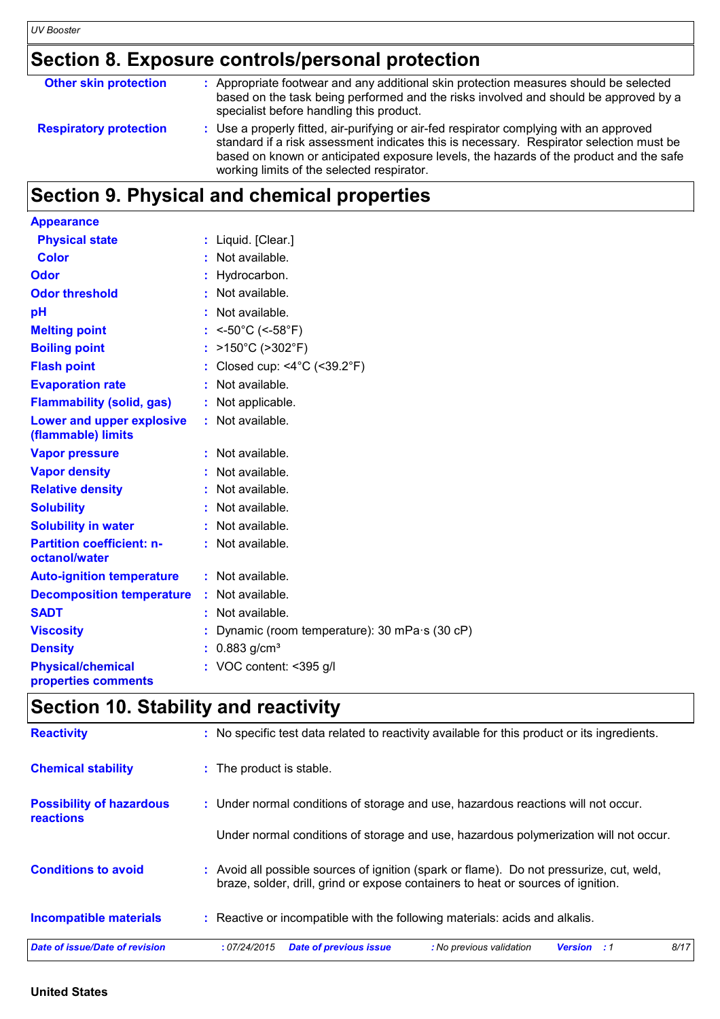### **Section 8. Exposure controls/personal protection**

| <b>Other skin protection</b>  | : Appropriate footwear and any additional skin protection measures should be selected<br>based on the task being performed and the risks involved and should be approved by a<br>specialist before handling this product.                                                                                                  |
|-------------------------------|----------------------------------------------------------------------------------------------------------------------------------------------------------------------------------------------------------------------------------------------------------------------------------------------------------------------------|
| <b>Respiratory protection</b> | : Use a properly fitted, air-purifying or air-fed respirator complying with an approved<br>standard if a risk assessment indicates this is necessary. Respirator selection must be<br>based on known or anticipated exposure levels, the hazards of the product and the safe<br>working limits of the selected respirator. |

### **Section 9. Physical and chemical properties**

| <b>Appearance</b>                                 |                                                  |
|---------------------------------------------------|--------------------------------------------------|
| <b>Physical state</b>                             | : Liquid. [Clear.]                               |
| <b>Color</b>                                      | : Not available.                                 |
| <b>Odor</b>                                       | : Hydrocarbon.                                   |
| <b>Odor threshold</b>                             | Not available.                                   |
| pH                                                | : Not available.                                 |
| <b>Melting point</b>                              | : <- $50^{\circ}$ C (<- $58^{\circ}$ F)          |
| <b>Boiling point</b>                              | $>150^{\circ}$ C ( $>302^{\circ}$ F)             |
| <b>Flash point</b>                                | Closed cup: <4 $^{\circ}$ C (<39.2 $^{\circ}$ F) |
| <b>Evaporation rate</b>                           | Not available.                                   |
| <b>Flammability (solid, gas)</b>                  | Not applicable.                                  |
| Lower and upper explosive<br>(flammable) limits   | : Not available.                                 |
| <b>Vapor pressure</b>                             | : Not available.                                 |
| <b>Vapor density</b>                              | Not available.                                   |
| <b>Relative density</b>                           | : Not available.                                 |
| <b>Solubility</b>                                 | : Not available.                                 |
| <b>Solubility in water</b>                        | : Not available.                                 |
| <b>Partition coefficient: n-</b><br>octanol/water | : Not available.                                 |
| <b>Auto-ignition temperature</b>                  | : Not available.                                 |
| <b>Decomposition temperature</b>                  | : Not available.                                 |
| <b>SADT</b>                                       | Not available.                                   |
| <b>Viscosity</b>                                  | Dynamic (room temperature): 30 mPa·s (30 cP)     |
| <b>Density</b>                                    | $0.883$ g/cm <sup>3</sup>                        |
| <b>Physical/chemical</b><br>properties comments   | : VOC content: $<$ 395 g/l                       |

# **Section 10. Stability and reactivity**

| Date of issue/Date of revision                      | 8/17<br><b>Date of previous issue</b><br>:07/24/2015<br>: No previous validation<br><b>Version</b> : 1                                                                       |
|-----------------------------------------------------|------------------------------------------------------------------------------------------------------------------------------------------------------------------------------|
| <b>Incompatible materials</b>                       | : Reactive or incompatible with the following materials: acids and alkalis.                                                                                                  |
| <b>Conditions to avoid</b>                          | : Avoid all possible sources of ignition (spark or flame). Do not pressurize, cut, weld,<br>braze, solder, drill, grind or expose containers to heat or sources of ignition. |
|                                                     | Under normal conditions of storage and use, hazardous polymerization will not occur.                                                                                         |
| <b>Possibility of hazardous</b><br><b>reactions</b> | : Under normal conditions of storage and use, hazardous reactions will not occur.                                                                                            |
| <b>Chemical stability</b>                           | : The product is stable.                                                                                                                                                     |
| <b>Reactivity</b>                                   | : No specific test data related to reactivity available for this product or its ingredients.                                                                                 |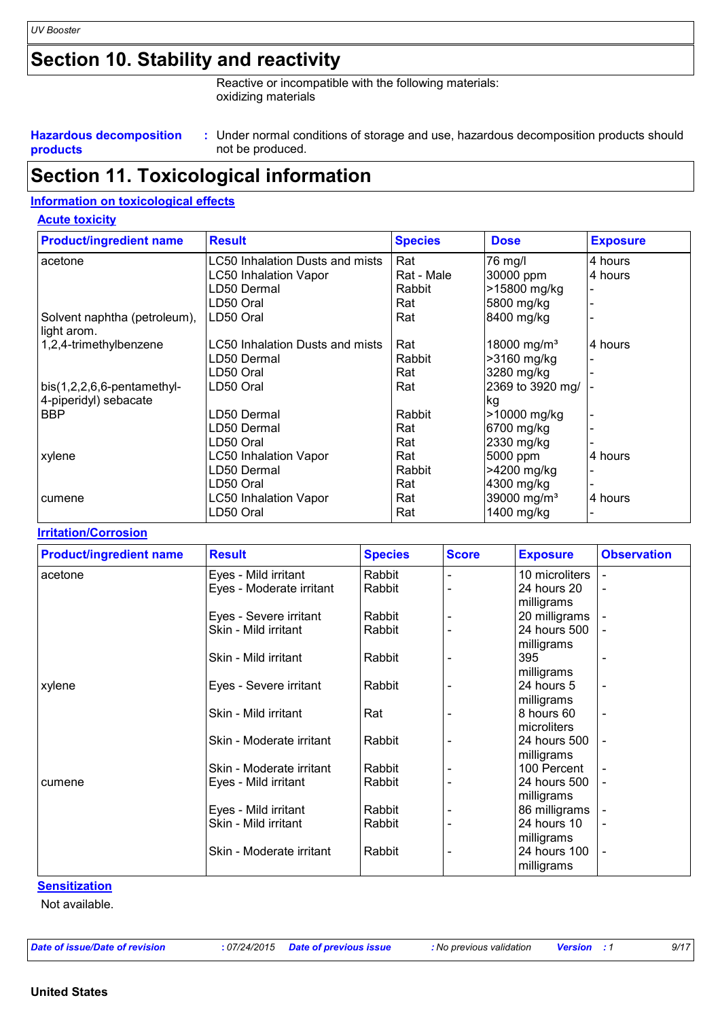### **Section 10. Stability and reactivity**

Reactive or incompatible with the following materials: oxidizing materials

#### **Hazardous decomposition products**

Under normal conditions of storage and use, hazardous decomposition products should **:** not be produced.

### **Section 11. Toxicological information**

### **Information on toxicological effects**

|  |  | <b>Acute toxicity</b> |  |
|--|--|-----------------------|--|
|--|--|-----------------------|--|

| <b>Product/ingredient name</b>              | <b>Result</b>                   | <b>Species</b> | <b>Dose</b>             | <b>Exposure</b> |
|---------------------------------------------|---------------------------------|----------------|-------------------------|-----------------|
| acetone                                     | LC50 Inhalation Dusts and mists | Rat            | 76 mg/l                 | 4 hours         |
|                                             | <b>LC50 Inhalation Vapor</b>    | Rat - Male     | 30000 ppm               | 4 hours         |
|                                             | LD50 Dermal                     | Rabbit         | >15800 mg/kg            |                 |
|                                             | LD50 Oral                       | Rat            | 5800 mg/kg              |                 |
| Solvent naphtha (petroleum),<br>light arom. | LD50 Oral                       | Rat            | 8400 mg/kg              |                 |
| 1,2,4-trimethylbenzene                      | LC50 Inhalation Dusts and mists | Rat            | 18000 mg/m <sup>3</sup> | 4 hours         |
|                                             | LD50 Dermal                     | Rabbit         | >3160 mg/kg             |                 |
|                                             | LD50 Oral                       | Rat            | 3280 mg/kg              |                 |
| $bis(1,2,2,6,6-pentamethyl-$                | LD50 Oral                       | Rat            | 2369 to 3920 mg/        |                 |
| 4-piperidyl) sebacate                       |                                 |                | kg                      |                 |
| <b>BBP</b>                                  | LD50 Dermal                     | Rabbit         | >10000 mg/kg            |                 |
|                                             | LD50 Dermal                     | Rat            | 6700 mg/kg              |                 |
|                                             | LD50 Oral                       | Rat            | 2330 mg/kg              |                 |
| xylene                                      | <b>LC50 Inhalation Vapor</b>    | Rat            | 5000 ppm                | 4 hours         |
|                                             | LD50 Dermal                     | Rabbit         | >4200 mg/kg             |                 |
|                                             | LD50 Oral                       | Rat            | 4300 mg/kg              |                 |
| cumene                                      | <b>LC50 Inhalation Vapor</b>    | Rat            | 39000 mg/m <sup>3</sup> | 4 hours         |
|                                             | LD50 Oral                       | Rat            | 1400 mg/kg              |                 |

#### **Irritation/Corrosion**

| <b>Product/ingredient name</b> | <b>Result</b>            | <b>Species</b> | <b>Score</b> | <b>Exposure</b> | <b>Observation</b>       |
|--------------------------------|--------------------------|----------------|--------------|-----------------|--------------------------|
| acetone                        | Eyes - Mild irritant     | Rabbit         |              | 10 microliters  |                          |
|                                | Eyes - Moderate irritant | Rabbit         |              | 24 hours 20     | $\blacksquare$           |
|                                |                          |                |              | milligrams      |                          |
|                                | Eyes - Severe irritant   | Rabbit         |              | 20 milligrams   |                          |
|                                | Skin - Mild irritant     | Rabbit         |              | 24 hours 500    |                          |
|                                |                          |                |              | milligrams      |                          |
|                                | Skin - Mild irritant     | Rabbit         |              | 395             |                          |
|                                |                          |                |              | milligrams      |                          |
| xylene                         | Eyes - Severe irritant   | Rabbit         |              | 24 hours 5      | $\blacksquare$           |
|                                |                          |                |              | milligrams      |                          |
|                                | Skin - Mild irritant     | Rat            |              | 8 hours 60      | $\blacksquare$           |
|                                |                          |                |              | microliters     |                          |
|                                | Skin - Moderate irritant | Rabbit         |              | 24 hours 500    | L,                       |
|                                |                          |                |              | milligrams      |                          |
|                                | Skin - Moderate irritant | Rabbit         |              | 100 Percent     | $\overline{\phantom{a}}$ |
| cumene                         | Eyes - Mild irritant     | Rabbit         |              | 24 hours 500    |                          |
|                                |                          |                |              | milligrams      |                          |
|                                | Eyes - Mild irritant     | Rabbit         |              | 86 milligrams   |                          |
|                                | Skin - Mild irritant     | Rabbit         |              | 24 hours 10     | $\blacksquare$           |
|                                |                          |                |              | milligrams      |                          |
|                                | Skin - Moderate irritant | Rabbit         |              | 24 hours 100    | L,                       |
|                                |                          |                |              | milligrams      |                          |

**Sensitization**

Not available.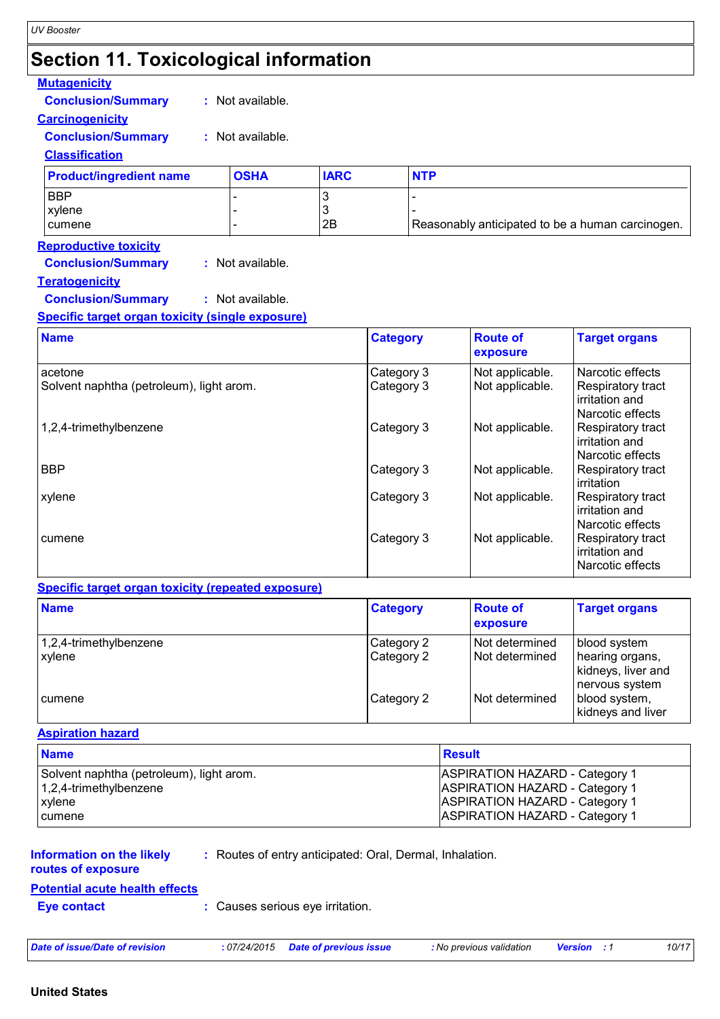| <b>Section 11. Toxicological information</b>                                                                                                                               |                                      |                          |                                                  |                                    |                                                                             |
|----------------------------------------------------------------------------------------------------------------------------------------------------------------------------|--------------------------------------|--------------------------|--------------------------------------------------|------------------------------------|-----------------------------------------------------------------------------|
| <b>Mutagenicity</b><br><b>Conclusion/Summary</b><br><b>Carcinogenicity</b><br><b>Conclusion/Summary</b><br><b>Classification</b>                                           | : Not available.<br>: Not available. |                          |                                                  |                                    |                                                                             |
| <b>Product/ingredient name</b>                                                                                                                                             | <b>OSHA</b>                          | <b>IARC</b>              | <b>NTP</b>                                       |                                    |                                                                             |
| <b>BBP</b><br>xylene<br>cumene                                                                                                                                             |                                      | 3<br>3<br>2B             | Reasonably anticipated to be a human carcinogen. |                                    |                                                                             |
| <b>Reproductive toxicity</b><br><b>Conclusion/Summary</b><br><b>Teratogenicity</b><br><b>Conclusion/Summary</b><br><b>Specific target organ toxicity (single exposure)</b> | : Not available.<br>: Not available. |                          |                                                  |                                    |                                                                             |
| <b>Name</b>                                                                                                                                                                |                                      | <b>Category</b>          |                                                  | <b>Route of</b><br>exposure        | <b>Target organs</b>                                                        |
| acetone<br>Solvent naphtha (petroleum), light arom.                                                                                                                        |                                      | Category 3<br>Category 3 |                                                  | Not applicable.<br>Not applicable. | Narcotic effects<br>Respiratory tract<br>irritation and                     |
| 1,2,4-trimethylbenzene                                                                                                                                                     |                                      | Category 3               |                                                  | Not applicable.                    | Narcotic effects<br>Respiratory tract<br>irritation and<br>Narcotic effects |
| BBP                                                                                                                                                                        |                                      | Category 3               |                                                  | Not applicable.                    | Respiratory tract<br>irritation                                             |
| xylene                                                                                                                                                                     |                                      | Category 3               |                                                  | Not applicable.                    | Respiratory tract<br>irritation and<br>Narcotic effects                     |
| cumene                                                                                                                                                                     |                                      | Category 3               |                                                  | Not applicable.                    | Respiratory tract<br>irritation and<br>Narcotic effects                     |
| <b>Specific target organ toxicity (repeated exposure)</b>                                                                                                                  |                                      |                          |                                                  |                                    |                                                                             |
| <b>Name</b>                                                                                                                                                                |                                      | <b>Category</b>          |                                                  | <b>Route of</b><br>exposure        | <b>Target organs</b>                                                        |

| .                         |            | exposure         |                                                         |
|---------------------------|------------|------------------|---------------------------------------------------------|
| $1,2,4$ -trimethylbenzene | Category 2 | Not determined   | blood system                                            |
| xvlene                    | Category 2 | I Not determined | hearing organs,<br>kidneys, liver and<br>nervous system |
| <b>cumene</b>             | Category 2 | Not determined   | blood system,<br>kidneys and liver                      |

### **Aspiration hazard**

| <b>Name</b>                              | <b>Result</b>                  |
|------------------------------------------|--------------------------------|
| Solvent naphtha (petroleum), light arom. | ASPIRATION HAZARD - Category 1 |
| $1,2,4$ -trimethylbenzene                | ASPIRATION HAZARD - Category 1 |
| <b>xylene</b>                            | ASPIRATION HAZARD - Category 1 |
| cumene                                   | ASPIRATION HAZARD - Category 1 |

### **Information on the likely**

**:** Routes of entry anticipated: Oral, Dermal, Inhalation.

### **routes of exposure**

**Potential acute health effects**

**Eye contact :** Causes serious eye irritation.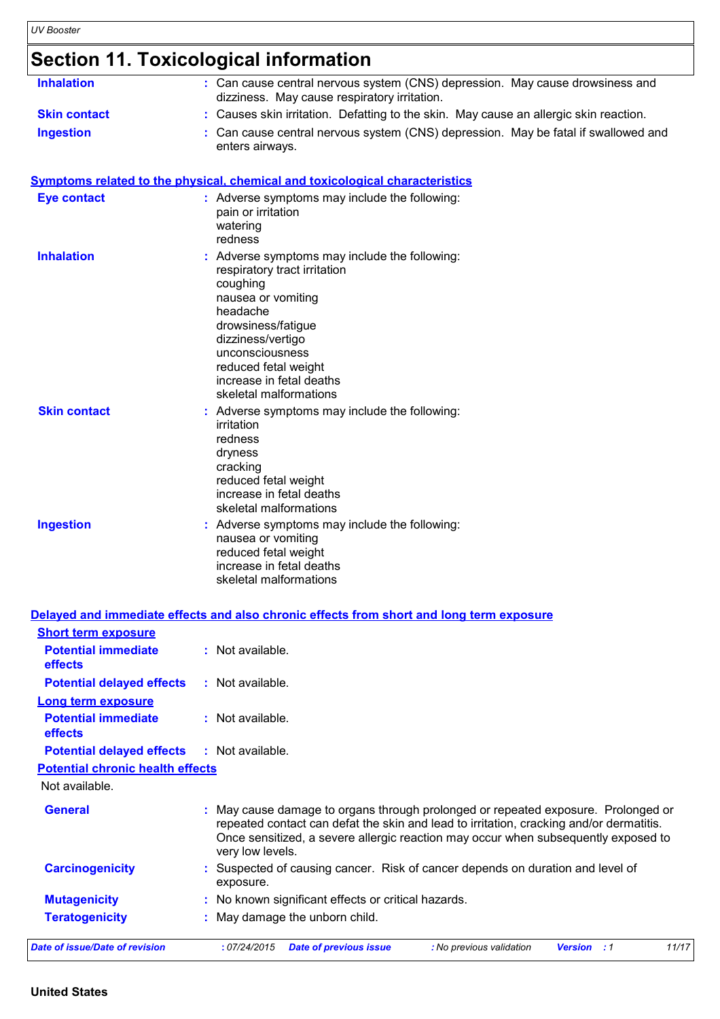# **Section 11. Toxicological information**

| <b>Inhalation</b>   | : Can cause central nervous system (CNS) depression. May cause drowsiness and<br>dizziness. May cause respiratory irritation.                                                                                                                                         |
|---------------------|-----------------------------------------------------------------------------------------------------------------------------------------------------------------------------------------------------------------------------------------------------------------------|
| <b>Skin contact</b> | : Causes skin irritation. Defatting to the skin. May cause an allergic skin reaction.                                                                                                                                                                                 |
| <b>Ingestion</b>    | : Can cause central nervous system (CNS) depression. May be fatal if swallowed and<br>enters airways.                                                                                                                                                                 |
|                     | Symptoms related to the physical, chemical and toxicological characteristics                                                                                                                                                                                          |
| <b>Eye contact</b>  | : Adverse symptoms may include the following:<br>pain or irritation<br>watering<br>redness                                                                                                                                                                            |
| <b>Inhalation</b>   | Adverse symptoms may include the following:<br>respiratory tract irritation<br>coughing<br>nausea or vomiting<br>headache<br>drowsiness/fatigue<br>dizziness/vertigo<br>unconsciousness<br>reduced fetal weight<br>increase in fetal deaths<br>skeletal malformations |
| <b>Skin contact</b> | : Adverse symptoms may include the following:<br>irritation<br>redness<br>dryness<br>cracking<br>reduced fetal weight<br>increase in fetal deaths<br>skeletal malformations                                                                                           |
| <b>Ingestion</b>    | : Adverse symptoms may include the following:<br>nausea or vomiting<br>reduced fetal weight<br>increase in fetal deaths<br>skeletal malformations                                                                                                                     |

| <b>Short term exposure</b>                   |                                                                                                                                                                                                                                                                                      |
|----------------------------------------------|--------------------------------------------------------------------------------------------------------------------------------------------------------------------------------------------------------------------------------------------------------------------------------------|
| <b>Potential immediate</b><br><b>effects</b> | : Not available.                                                                                                                                                                                                                                                                     |
| <b>Potential delayed effects</b>             | : Not available.                                                                                                                                                                                                                                                                     |
| <b>Long term exposure</b>                    |                                                                                                                                                                                                                                                                                      |
| <b>Potential immediate</b><br><b>effects</b> | : Not available.                                                                                                                                                                                                                                                                     |
| <b>Potential delayed effects</b>             | : Not available.                                                                                                                                                                                                                                                                     |
| <b>Potential chronic health effects</b>      |                                                                                                                                                                                                                                                                                      |
| Not available.                               |                                                                                                                                                                                                                                                                                      |
| <b>General</b>                               | May cause damage to organs through prolonged or repeated exposure. Prolonged or<br>repeated contact can defat the skin and lead to irritation, cracking and/or dermatitis.<br>Once sensitized, a severe allergic reaction may occur when subsequently exposed to<br>very low levels. |
| <b>Carcinogenicity</b>                       | : Suspected of causing cancer. Risk of cancer depends on duration and level of<br>exposure.                                                                                                                                                                                          |
| <b>Mutagenicity</b>                          | : No known significant effects or critical hazards.                                                                                                                                                                                                                                  |
| <b>Teratogenicity</b>                        | : May damage the unborn child.                                                                                                                                                                                                                                                       |
| Date of issue/Date of revision               | 11/17<br>:07/24/2015<br><b>Date of previous issue</b><br>: No previous validation<br><b>Version</b> : 1                                                                                                                                                                              |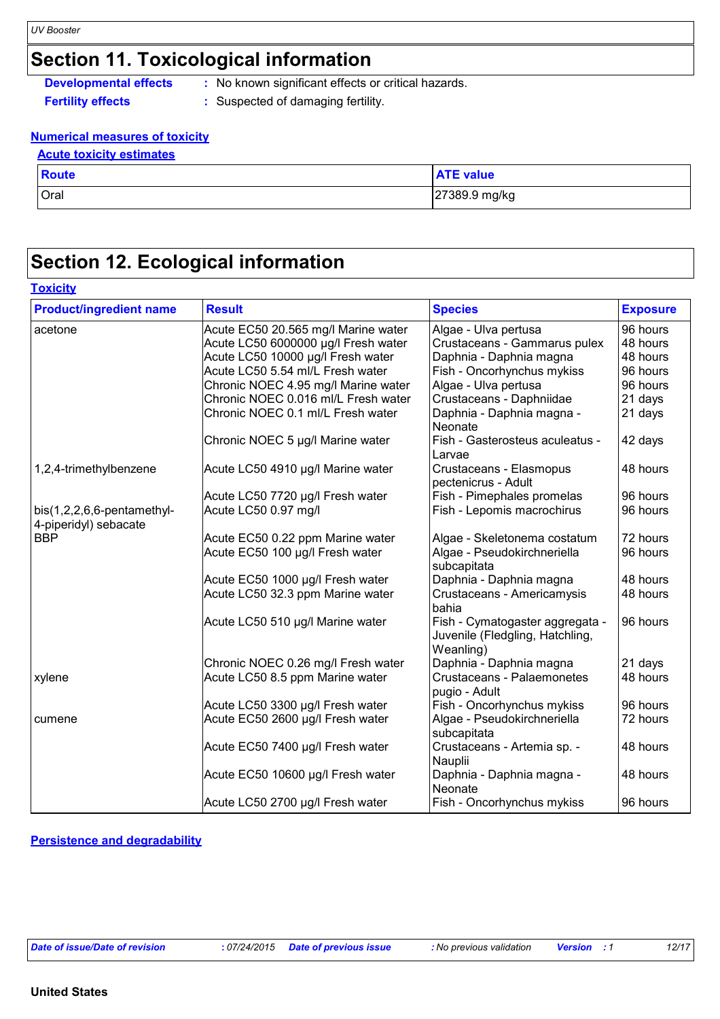### **Section 11. Toxicological information**

**Developmental effects** : No known significant effects or critical hazards.

- 
- **Fertility effects :** Suspected of damaging fertility.

#### **Numerical measures of toxicity Acute toxicity estimates**

| <b>Acute toxicity estimates</b> |                  |
|---------------------------------|------------------|
| Route                           | <b>ATE value</b> |
| Oral                            | 27389.9 mg/kg    |

### **Section 12. Ecological information**

### **Toxicity**

| <b>Product/ingredient name</b>                      | <b>Result</b>                       | <b>Species</b>                                                                  | <b>Exposure</b> |
|-----------------------------------------------------|-------------------------------------|---------------------------------------------------------------------------------|-----------------|
| acetone                                             | Acute EC50 20.565 mg/l Marine water | Algae - Ulva pertusa                                                            | 96 hours        |
|                                                     | Acute LC50 6000000 µg/l Fresh water | Crustaceans - Gammarus pulex                                                    | 48 hours        |
|                                                     | Acute LC50 10000 µg/l Fresh water   | Daphnia - Daphnia magna                                                         | 48 hours        |
|                                                     | Acute LC50 5.54 ml/L Fresh water    | Fish - Oncorhynchus mykiss                                                      | 96 hours        |
|                                                     | Chronic NOEC 4.95 mg/l Marine water | Algae - Ulva pertusa                                                            | 96 hours        |
|                                                     | Chronic NOEC 0.016 ml/L Fresh water | Crustaceans - Daphniidae                                                        | 21 days         |
|                                                     | Chronic NOEC 0.1 ml/L Fresh water   | Daphnia - Daphnia magna -<br>Neonate                                            | 21 days         |
|                                                     | Chronic NOEC 5 µg/l Marine water    | Fish - Gasterosteus aculeatus -<br>Larvae                                       | 42 days         |
| 1,2,4-trimethylbenzene                              | Acute LC50 4910 µg/l Marine water   | Crustaceans - Elasmopus<br>pectenicrus - Adult                                  | 48 hours        |
|                                                     | Acute LC50 7720 µg/l Fresh water    | Fish - Pimephales promelas                                                      | 96 hours        |
| bis(1,2,2,6,6-pentamethyl-<br>4-piperidyl) sebacate | Acute LC50 0.97 mg/l                | Fish - Lepomis macrochirus                                                      | 96 hours        |
| <b>BBP</b>                                          | Acute EC50 0.22 ppm Marine water    | Algae - Skeletonema costatum                                                    | 72 hours        |
|                                                     | Acute EC50 100 µg/l Fresh water     | Algae - Pseudokirchneriella<br>subcapitata                                      | 96 hours        |
|                                                     | Acute EC50 1000 µg/l Fresh water    | Daphnia - Daphnia magna                                                         | 48 hours        |
|                                                     | Acute LC50 32.3 ppm Marine water    | Crustaceans - Americamysis<br>bahia                                             | 48 hours        |
|                                                     | Acute LC50 510 µg/l Marine water    | Fish - Cymatogaster aggregata -<br>Juvenile (Fledgling, Hatchling,<br>Weanling) | 96 hours        |
|                                                     | Chronic NOEC 0.26 mg/l Fresh water  | Daphnia - Daphnia magna                                                         | 21 days         |
| xylene                                              | Acute LC50 8.5 ppm Marine water     | <b>Crustaceans - Palaemonetes</b><br>pugio - Adult                              | 48 hours        |
|                                                     | Acute LC50 3300 µg/l Fresh water    | Fish - Oncorhynchus mykiss                                                      | 96 hours        |
| cumene                                              | Acute EC50 2600 µg/l Fresh water    | Algae - Pseudokirchneriella<br>subcapitata                                      | 72 hours        |
|                                                     | Acute EC50 7400 µg/l Fresh water    | Crustaceans - Artemia sp. -<br>Nauplii                                          | 48 hours        |
|                                                     | Acute EC50 10600 µg/l Fresh water   | Daphnia - Daphnia magna -<br>Neonate                                            | 48 hours        |
|                                                     | Acute LC50 2700 µg/l Fresh water    | Fish - Oncorhynchus mykiss                                                      | 96 hours        |

#### **Persistence and degradability**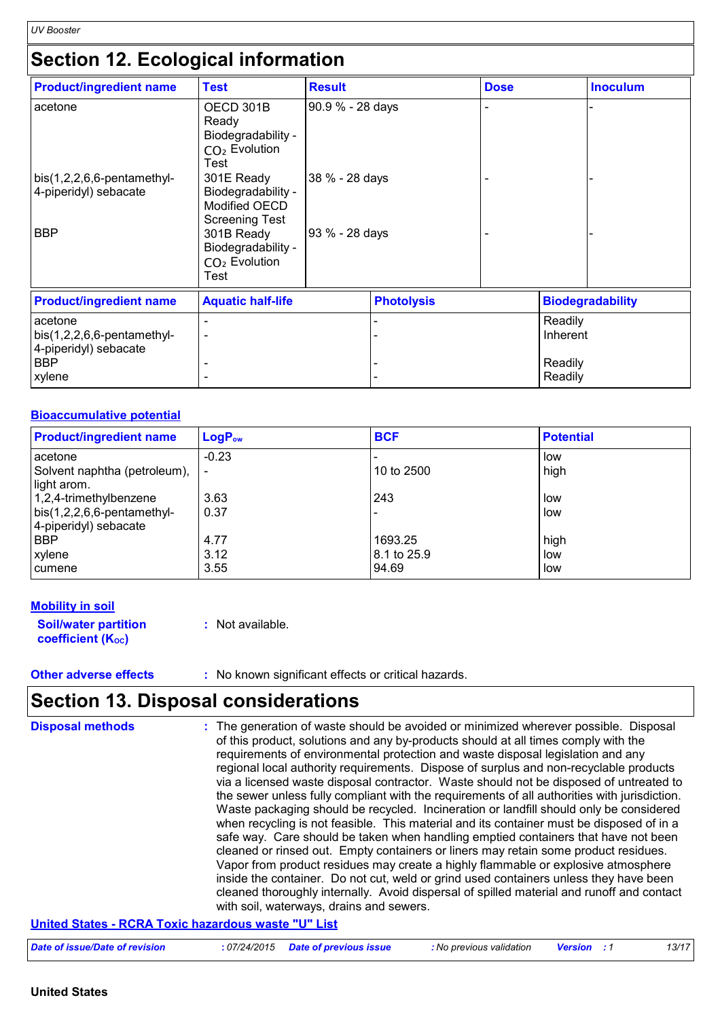# **Section 12. Ecological information**

| <b>Product/ingredient name</b>                                   | <b>Test</b>                                                                | <b>Result</b>    |                   | <b>Dose</b> |                     | <b>Inoculum</b>         |
|------------------------------------------------------------------|----------------------------------------------------------------------------|------------------|-------------------|-------------|---------------------|-------------------------|
| acetone                                                          | OECD 301B<br>Ready<br>Biodegradability -<br>$CO2$ Evolution<br>Test        | 90.9 % - 28 days |                   |             |                     |                         |
| $bis(1,2,2,6,6-pentamethyl-$<br>4-piperidyl) sebacate            | 301E Ready<br>Biodegradability -<br>Modified OECD<br><b>Screening Test</b> | 38 % - 28 days   |                   |             |                     |                         |
| <b>BBP</b>                                                       | 301B Ready<br>Biodegradability -<br>CO <sub>2</sub> Evolution<br>Test      | 93 % - 28 days   |                   |             |                     |                         |
| <b>Product/ingredient name</b>                                   | <b>Aquatic half-life</b>                                                   |                  | <b>Photolysis</b> |             |                     | <b>Biodegradability</b> |
| acetone<br>$bis(1,2,2,6,6-pentamethyl-$<br>4-piperidyl) sebacate |                                                                            |                  |                   |             | Readily<br>Inherent |                         |
| <b>BBP</b><br>xylene                                             |                                                                            |                  |                   |             | Readily<br>Readily  |                         |

#### **Bioaccumulative potential**

| <b>Product/ingredient name</b>     | <b>LogP</b> <sub>ow</sub> | <b>BCF</b>    | <b>Potential</b> |
|------------------------------------|---------------------------|---------------|------------------|
| acetone                            | $-0.23$                   |               | low              |
| Solvent naphtha (petroleum),       |                           | 10 to 2500    | high             |
| light arom.                        |                           |               |                  |
| 1,2,4-trimethylbenzene             | 3.63                      | 243           | low              |
| $\vert$ bis(1,2,2,6,6-pentamethyl- | 0.37                      |               | low              |
| 4-piperidyl) sebacate              |                           |               |                  |
| <b>BBP</b>                         | 4.77                      | 1693.25       | high             |
| xylene                             | 3.12                      | l 8.1 to 25.9 | low              |
| cumene                             | 3.55                      | 94.69         | low              |

### **Mobility in soil**

| <b>Soil/water partition</b> | : Not available. |
|-----------------------------|------------------|
| <b>coefficient (Koc)</b>    |                  |

**Other adverse effects** : No known significant effects or critical hazards.

# **Section 13. Disposal considerations**

| <b>Disposal methods</b> | : The generation of waste should be avoided or minimized wherever possible. Disposal<br>of this product, solutions and any by-products should at all times comply with the<br>requirements of environmental protection and waste disposal legislation and any<br>regional local authority requirements. Dispose of surplus and non-recyclable products<br>via a licensed waste disposal contractor. Waste should not be disposed of untreated to<br>the sewer unless fully compliant with the requirements of all authorities with jurisdiction.<br>Waste packaging should be recycled. Incineration or landfill should only be considered<br>when recycling is not feasible. This material and its container must be disposed of in a<br>safe way. Care should be taken when handling emptied containers that have not been<br>cleaned or rinsed out. Empty containers or liners may retain some product residues.<br>Vapor from product residues may create a highly flammable or explosive atmosphere<br>inside the container. Do not cut, weld or grind used containers unless they have been<br>cleaned thoroughly internally. Avoid dispersal of spilled material and runoff and contact<br>with soil, waterways, drains and sewers. |
|-------------------------|--------------------------------------------------------------------------------------------------------------------------------------------------------------------------------------------------------------------------------------------------------------------------------------------------------------------------------------------------------------------------------------------------------------------------------------------------------------------------------------------------------------------------------------------------------------------------------------------------------------------------------------------------------------------------------------------------------------------------------------------------------------------------------------------------------------------------------------------------------------------------------------------------------------------------------------------------------------------------------------------------------------------------------------------------------------------------------------------------------------------------------------------------------------------------------------------------------------------------------------------|
|                         | <b>Haited Otates - DODA Tayle keepedang meeta WIWI ist</b>                                                                                                                                                                                                                                                                                                                                                                                                                                                                                                                                                                                                                                                                                                                                                                                                                                                                                                                                                                                                                                                                                                                                                                                 |

#### **United States - RCRA Toxic hazardous waste "U" List**

| Date of issue/Date of revision | : 07/24/2015 Date of previous issue | : No previous validation | <b>Version</b> | 13/17 |
|--------------------------------|-------------------------------------|--------------------------|----------------|-------|
|--------------------------------|-------------------------------------|--------------------------|----------------|-------|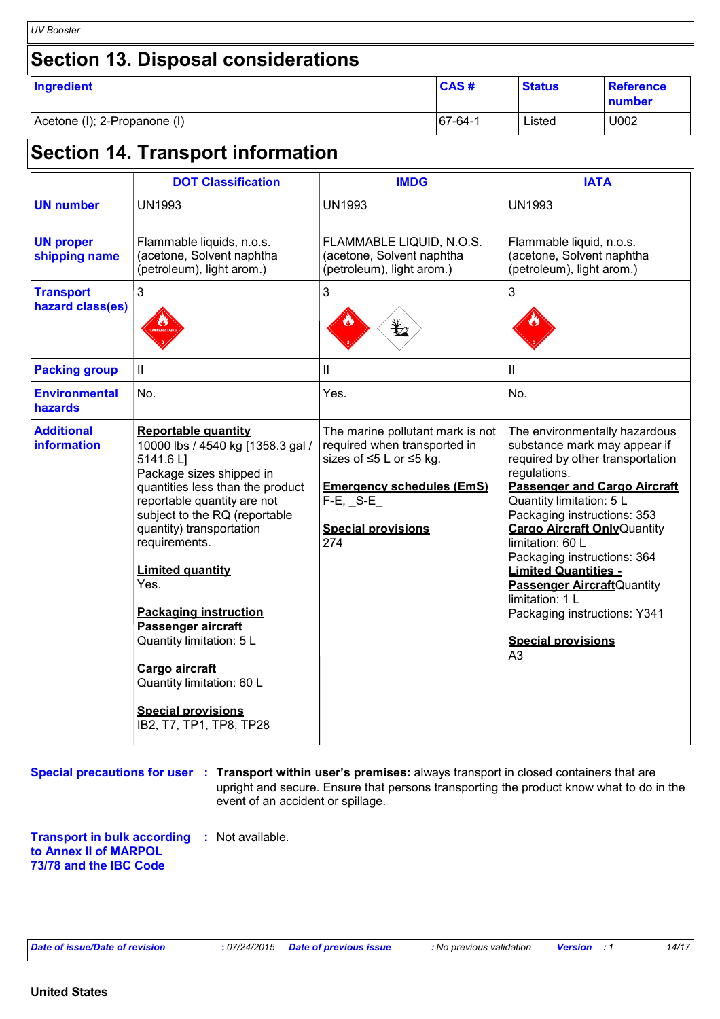| <b>UV Booster</b>                          |           |               |                            |
|--------------------------------------------|-----------|---------------|----------------------------|
| <b>Section 13. Disposal considerations</b> |           |               |                            |
| Ingredient                                 | CAS#      | <b>Status</b> | <b>Reference</b><br>number |
| Acetone (I); 2-Propanone (I)               | $67-64-1$ | Listed        | U002                       |

### **Section 14. Transport information**

|                                         | <b>DOT Classification</b>                                                                                                                                                                                                                                                                                                                                                                                                                                                             | <b>IMDG</b>                                                                                                                                                                          | <b>IATA</b>                                                                                                                                                                                                                                                                                                                                                                                                                                                                          |
|-----------------------------------------|---------------------------------------------------------------------------------------------------------------------------------------------------------------------------------------------------------------------------------------------------------------------------------------------------------------------------------------------------------------------------------------------------------------------------------------------------------------------------------------|--------------------------------------------------------------------------------------------------------------------------------------------------------------------------------------|--------------------------------------------------------------------------------------------------------------------------------------------------------------------------------------------------------------------------------------------------------------------------------------------------------------------------------------------------------------------------------------------------------------------------------------------------------------------------------------|
| <b>UN number</b>                        | <b>UN1993</b>                                                                                                                                                                                                                                                                                                                                                                                                                                                                         | <b>UN1993</b>                                                                                                                                                                        | <b>UN1993</b>                                                                                                                                                                                                                                                                                                                                                                                                                                                                        |
| <b>UN proper</b><br>shipping name       | Flammable liquids, n.o.s.<br>(acetone, Solvent naphtha<br>(petroleum), light arom.)                                                                                                                                                                                                                                                                                                                                                                                                   | FLAMMABLE LIQUID, N.O.S.<br>(acetone, Solvent naphtha<br>(petroleum), light arom.)                                                                                                   | Flammable liquid, n.o.s.<br>(acetone, Solvent naphtha<br>(petroleum), light arom.)                                                                                                                                                                                                                                                                                                                                                                                                   |
| <b>Transport</b><br>hazard class(es)    | $\mathbf{3}$                                                                                                                                                                                                                                                                                                                                                                                                                                                                          | 3                                                                                                                                                                                    | 3                                                                                                                                                                                                                                                                                                                                                                                                                                                                                    |
| <b>Packing group</b>                    | $\mathbf{II}$                                                                                                                                                                                                                                                                                                                                                                                                                                                                         | $\mathbf{I}$                                                                                                                                                                         | $\mathbf{II}$                                                                                                                                                                                                                                                                                                                                                                                                                                                                        |
| <b>Environmental</b><br>hazards         | No.                                                                                                                                                                                                                                                                                                                                                                                                                                                                                   | Yes.                                                                                                                                                                                 | No.                                                                                                                                                                                                                                                                                                                                                                                                                                                                                  |
| <b>Additional</b><br><b>information</b> | <b>Reportable quantity</b><br>10000 lbs / 4540 kg [1358.3 gal /<br>5141.6 L]<br>Package sizes shipped in<br>quantities less than the product<br>reportable quantity are not<br>subject to the RQ (reportable<br>quantity) transportation<br>requirements.<br><b>Limited quantity</b><br>Yes.<br><b>Packaging instruction</b><br>Passenger aircraft<br>Quantity limitation: 5 L<br>Cargo aircraft<br>Quantity limitation: 60 L<br><b>Special provisions</b><br>IB2, T7, TP1, TP8, TP28 | The marine pollutant mark is not<br>required when transported in<br>sizes of ≤5 L or ≤5 kg.<br><b>Emergency schedules (EmS)</b><br>$F-E$ , $S-E$<br><b>Special provisions</b><br>274 | The environmentally hazardous<br>substance mark may appear if<br>required by other transportation<br>regulations.<br><b>Passenger and Cargo Aircraft</b><br>Quantity limitation: 5 L<br>Packaging instructions: 353<br><b>Cargo Aircraft Only Quantity</b><br>limitation: 60 L<br>Packaging instructions: 364<br><b>Limited Quantities -</b><br><b>Passenger Aircraft</b> Quantity<br>limitation: 1 L<br>Packaging instructions: Y341<br><b>Special provisions</b><br>A <sub>3</sub> |

**Special precautions for user** : Transport within user's premises: always transport in closed containers that are upright and secure. Ensure that persons transporting the product know what to do in the event of an accident or spillage.

**Transport in bulk according :** Not available. **to Annex II of MARPOL 73/78 and the IBC Code**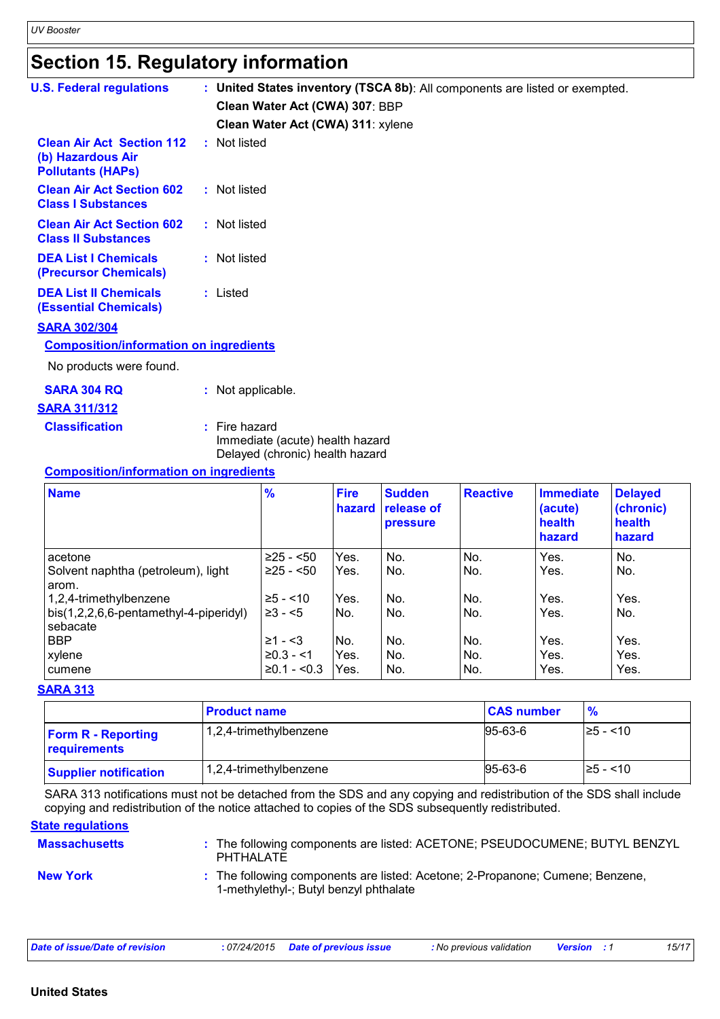# **Section 15. Regulatory information**

| <b>U.S. Federal regulations</b>                                                   |                   |                                                                    |                       | : United States inventory (TSCA 8b): All components are listed or exempted. |                 |                             |                             |
|-----------------------------------------------------------------------------------|-------------------|--------------------------------------------------------------------|-----------------------|-----------------------------------------------------------------------------|-----------------|-----------------------------|-----------------------------|
|                                                                                   |                   | Clean Water Act (CWA) 307: BBP                                     |                       |                                                                             |                 |                             |                             |
|                                                                                   |                   | Clean Water Act (CWA) 311: xylene                                  |                       |                                                                             |                 |                             |                             |
| <b>Clean Air Act Section 112</b><br>(b) Hazardous Air<br><b>Pollutants (HAPs)</b> | : Not listed      |                                                                    |                       |                                                                             |                 |                             |                             |
| <b>Clean Air Act Section 602</b><br><b>Class I Substances</b>                     | : Not listed      |                                                                    |                       |                                                                             |                 |                             |                             |
| <b>Clean Air Act Section 602</b><br><b>Class II Substances</b>                    | : Not listed      |                                                                    |                       |                                                                             |                 |                             |                             |
| <b>DEA List I Chemicals</b><br>(Precursor Chemicals)                              | : Not listed      |                                                                    |                       |                                                                             |                 |                             |                             |
| <b>DEA List II Chemicals</b><br><b>(Essential Chemicals)</b>                      | : Listed          |                                                                    |                       |                                                                             |                 |                             |                             |
| <b>SARA 302/304</b>                                                               |                   |                                                                    |                       |                                                                             |                 |                             |                             |
| <b>Composition/information on ingredients</b>                                     |                   |                                                                    |                       |                                                                             |                 |                             |                             |
| No products were found.                                                           |                   |                                                                    |                       |                                                                             |                 |                             |                             |
| <b>SARA 304 RQ</b>                                                                | : Not applicable. |                                                                    |                       |                                                                             |                 |                             |                             |
| <b>SARA 311/312</b>                                                               |                   |                                                                    |                       |                                                                             |                 |                             |                             |
| <b>Classification</b>                                                             | $:$ Fire hazard   | Immediate (acute) health hazard<br>Delayed (chronic) health hazard |                       |                                                                             |                 |                             |                             |
| <b>Composition/information on ingredients</b>                                     |                   |                                                                    |                       |                                                                             |                 |                             |                             |
| <b>Name</b>                                                                       |                   | $\frac{9}{6}$                                                      | <b>Fire</b><br>hazard | <b>Sudden</b><br><b>release of</b>                                          | <b>Reactive</b> | <b>Immediate</b><br>(acute) | <b>Delayed</b><br>(chronic) |

| <b>Name</b>                                        | $\%$          | <b>Fire</b><br>hazard | <b>Sudden</b><br><b>release of</b><br><b>pressure</b> | <b>Reactive</b> | <b>Immediate</b><br>(acute)<br>health<br>hazard | <b>Delayed</b><br>(chronic)<br>health<br>hazard |
|----------------------------------------------------|---------------|-----------------------|-------------------------------------------------------|-----------------|-------------------------------------------------|-------------------------------------------------|
| acetone                                            | $≥25 - 50$    | Yes.                  | No.                                                   | No.             | Yes.                                            | No.                                             |
| Solvent naphtha (petroleum), light<br>arom.        | $≥25 - <50$   | Yes.                  | No.                                                   | No.             | Yes.                                            | No.                                             |
| 1,2,4-trimethylbenzene                             | $≥5 - < 10$   | Yes.                  | No.                                                   | No.             | Yes.                                            | Yes.                                            |
| bis(1,2,2,6,6-pentamethyl-4-piperidyl)<br>sebacate | $\geq 3 - 5$  | No.                   | No.                                                   | No.             | Yes.                                            | No.                                             |
| <b>BBP</b>                                         | $≥1 - 53$     | No.                   | No.                                                   | No.             | Yes.                                            | Yes.                                            |
| xylene                                             | $≥0.3 - < 1$  | Yes.                  | No.                                                   | No.             | Yes.                                            | Yes.                                            |
| cumene                                             | $≥0.1 - <0.3$ | Yes.                  | No.                                                   | No.             | Yes.                                            | Yes.                                            |

#### **SARA 313**

|                                           | <b>Product name</b>    | <b>CAS number</b> | $\frac{9}{6}$ |
|-------------------------------------------|------------------------|-------------------|---------------|
| <b>Form R - Reporting</b><br>requirements | 1,2,4-trimethylbenzene | 95-63-6           | I≥5 - <10     |
| <b>Supplier notification</b>              | 1,2,4-trimethylbenzene | 95-63-6           | $\ge$ 5 - <10 |

SARA 313 notifications must not be detached from the SDS and any copying and redistribution of the SDS shall include copying and redistribution of the notice attached to copies of the SDS subsequently redistributed.

### **State regulations**

| <b>Massachusetts</b> | : The following components are listed: ACETONE; PSEUDOCUMENE; BUTYL BENZYL<br><b>PHTHALATE</b>                          |
|----------------------|-------------------------------------------------------------------------------------------------------------------------|
| <b>New York</b>      | : The following components are listed: Acetone; 2-Propanone; Cumene; Benzene,<br>1-methylethyl-; Butyl benzyl phthalate |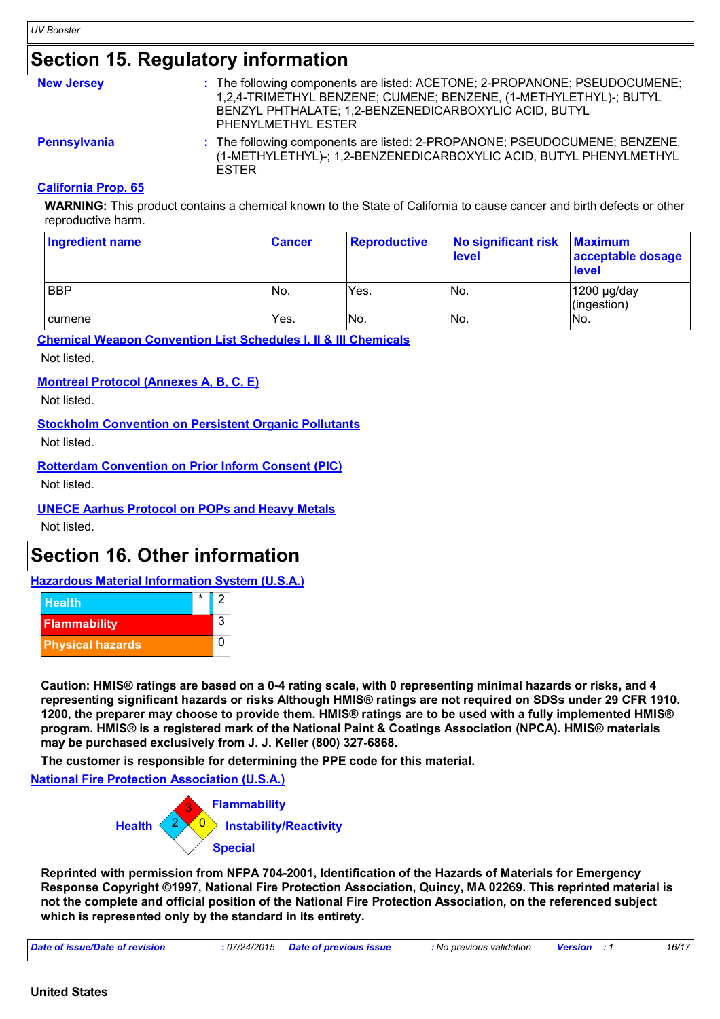### **Section 15. Regulatory information**

| <b>New Jersey</b> | : The following components are listed: ACETONE; 2-PROPANONE; PSEUDOCUMENE;<br>1,2,4-TRIMETHYL BENZENE; CUMENE; BENZENE, (1-METHYLETHYL)-; BUTYL<br>BENZYL PHTHALATE; 1,2-BENZENEDICARBOXYLIC ACID, BUTYL<br>PHENYLMETHYL ESTER |
|-------------------|--------------------------------------------------------------------------------------------------------------------------------------------------------------------------------------------------------------------------------|
| Pennsylvania      | : The following components are listed: 2-PROPANONE; PSEUDOCUMENE; BENZENE,<br>(1-METHYLETHYL)-; 1,2-BENZENEDICARBOXYLIC ACID, BUTYL PHENYLMETHYL                                                                               |

#### **California Prop. 65**

**WARNING:** This product contains a chemical known to the State of California to cause cancer and birth defects or other reproductive harm.

| Ingredient name | <b>Cancer</b> | <b>Reproductive</b> | No significant risk<br><b>level</b> | <b>Maximum</b><br>acceptable dosage<br><b>level</b> |
|-----------------|---------------|---------------------|-------------------------------------|-----------------------------------------------------|
| <b>BBP</b>      | No.           | Yes.                | No.                                 | 1200 µg/day<br>(ingestion)                          |
| I cumene        | Yes.          | No.                 | INo.                                | IN <sub>o</sub>                                     |

**Chemical Weapon Convention List Schedules I, II & III Chemicals**

ESTER

Not listed.

#### **Montreal Protocol (Annexes A, B, C, E)**

Not listed.

#### **Stockholm Convention on Persistent Organic Pollutants**

Not listed.

### **Rotterdam Convention on Prior Inform Consent (PIC)**

Not listed.

### **UNECE Aarhus Protocol on POPs and Heavy Metals**

Not listed.

### **Section 16. Other information**

**Hazardous Material Information System (U.S.A.)**



**Caution: HMIS® ratings are based on a 0-4 rating scale, with 0 representing minimal hazards or risks, and 4 representing significant hazards or risks Although HMIS® ratings are not required on SDSs under 29 CFR 1910. 1200, the preparer may choose to provide them. HMIS® ratings are to be used with a fully implemented HMIS® program. HMIS® is a registered mark of the National Paint & Coatings Association (NPCA). HMIS® materials may be purchased exclusively from J. J. Keller (800) 327-6868.**

**The customer is responsible for determining the PPE code for this material.**

**National Fire Protection Association (U.S.A.)**



**Reprinted with permission from NFPA 704-2001, Identification of the Hazards of Materials for Emergency Response Copyright ©1997, National Fire Protection Association, Quincy, MA 02269. This reprinted material is not the complete and official position of the National Fire Protection Association, on the referenced subject which is represented only by the standard in its entirety.**

| Date of issue/Date of revision | : 07/24/2015 Date of previous issue | : No previous validation | <b>Version</b> : 1 | 16/17 |
|--------------------------------|-------------------------------------|--------------------------|--------------------|-------|
|--------------------------------|-------------------------------------|--------------------------|--------------------|-------|